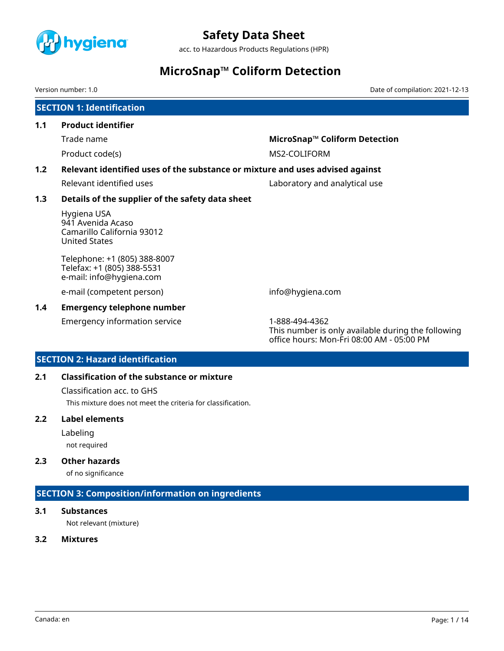

acc. to Hazardous Products Regulations (HPR)

# **MicroSnap™ Coliform Detection**

Version number: 1.0 Date of compilation: 2021-12-13

# **SECTION 1: Identification 1.1 Product identifier** Trade name **MicroSnap™ Coliform Detection**  Product code(s) and the matrix of the MS2-COLIFORM **1.2 Relevant identified uses of the substance or mixture and uses advised against** Relevant identified uses **Laboratory and analytical use 1.3 Details of the supplier of the safety data sheet** Hygiena USA 941 Avenida Acaso Camarillo California 93012 United States Telephone: +1 (805) 388-8007 Telefax: +1 (805) 388-5531 e-mail: info@hygiena.com e-mail (competent person) info@hygiena.com

# **1.4 Emergency telephone number**

Emergency information service 1-888-494-4362

This number is only available during the following office hours: Mon-Fri 08:00 AM - 05:00 PM

# **SECTION 2: Hazard identification**

# **2.1 Classification of the substance or mixture**

Classification acc. to GHS

This mixture does not meet the criteria for classification.

### **2.2 Label elements**

Labeling

not required

# **2.3 Other hazards**

of no significance

# **SECTION 3: Composition/information on ingredients**

# **3.1 Substances**

Not relevant (mixture)

### **3.2 Mixtures**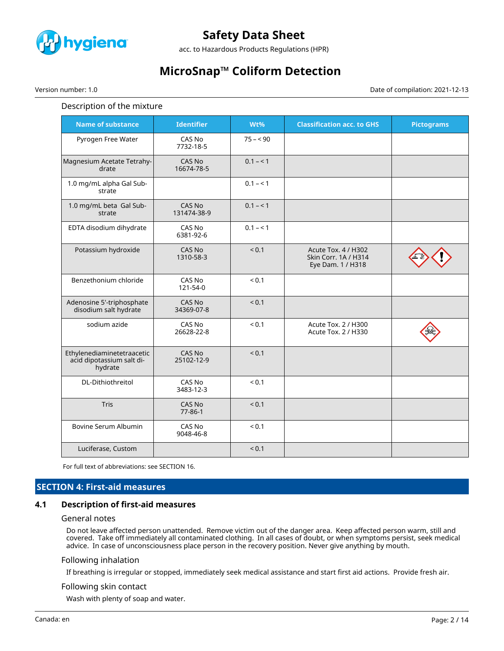

acc. to Hazardous Products Regulations (HPR)

# **MicroSnap™ Coliform Detection**

Version number: 1.0 Date of compilation: 2021-12-13

### Description of the mixture

| <b>Name of substance</b>                                           | <b>Identifier</b>           | Wt%        | <b>Classification acc. to GHS</b>                                | <b>Pictograms</b> |
|--------------------------------------------------------------------|-----------------------------|------------|------------------------------------------------------------------|-------------------|
| Pyrogen Free Water                                                 | CAS No<br>7732-18-5         | $75 - 90$  |                                                                  |                   |
| Magnesium Acetate Tetrahy-<br>drate                                | CAS No<br>16674-78-5        | $0.1 - 1$  |                                                                  |                   |
| 1.0 mg/mL alpha Gal Sub-<br>strate                                 |                             | $0.1 - 1$  |                                                                  |                   |
| 1.0 mg/mL beta Gal Sub-<br>strate                                  | CAS No<br>131474-38-9       | $0.1 - 1$  |                                                                  |                   |
| EDTA disodium dihydrate                                            | CAS No<br>6381-92-6         | $0.1 - 1$  |                                                                  |                   |
| Potassium hydroxide                                                | CAS No<br>1310-58-3         | ${}_{0.1}$ | Acute Tox. 4 / H302<br>Skin Corr. 1A / H314<br>Eye Dam. 1 / H318 |                   |
| Benzethonium chloride                                              | CAS No<br>121-54-0          | ${}_{0.1}$ |                                                                  |                   |
| Adenosine 5'-triphosphate<br>disodium salt hydrate                 | <b>CAS No</b><br>34369-07-8 | < 0.1      |                                                                  |                   |
| sodium azide                                                       | CAS No<br>26628-22-8        | ${}_{0.1}$ | Acute Tox. 2 / H300<br>Acute Tox. 2 / H330                       |                   |
| Ethylenediaminetetraacetic<br>acid dipotassium salt di-<br>hydrate | CAS No<br>25102-12-9        | ${}_{0.1}$ |                                                                  |                   |
| DL-Dithiothreitol                                                  | CAS No<br>3483-12-3         | ${}_{0.1}$ |                                                                  |                   |
| <b>Tris</b>                                                        | CAS No<br>$77 - 86 - 1$     | < 0.1      |                                                                  |                   |
| Bovine Serum Albumin                                               | CAS No<br>9048-46-8         | ${}_{0.1}$ |                                                                  |                   |
| Luciferase, Custom                                                 |                             | < 0.1      |                                                                  |                   |

For full text of abbreviations: see SECTION 16.

# **SECTION 4: First-aid measures**

### **4.1 Description of first-aid measures**

#### General notes

Do not leave affected person unattended. Remove victim out of the danger area. Keep affected person warm, still and covered. Take off immediately all contaminated clothing. In all cases of doubt, or when symptoms persist, seek medical advice. In case of unconsciousness place person in the recovery position. Never give anything by mouth.

#### Following inhalation

If breathing is irregular or stopped, immediately seek medical assistance and start first aid actions. Provide fresh air.

#### Following skin contact

Wash with plenty of soap and water.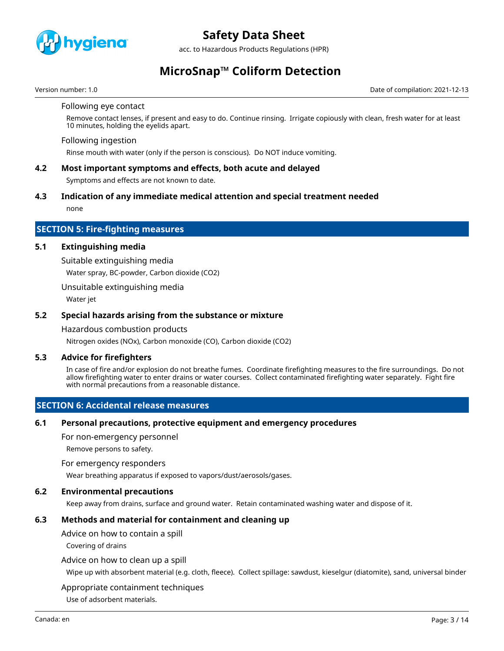

acc. to Hazardous Products Regulations (HPR)

# **MicroSnap™ Coliform Detection**

Version number: 1.0 Date of compilation: 2021-12-13

#### Following eye contact

Remove contact lenses, if present and easy to do. Continue rinsing. Irrigate copiously with clean, fresh water for at least 10 minutes, holding the eyelids apart.

#### Following ingestion

Rinse mouth with water (only if the person is conscious). Do NOT induce vomiting.

### **4.2 Most important symptoms and effects, both acute and delayed**

Symptoms and effects are not known to date.

### **4.3 Indication of any immediate medical attention and special treatment needed**

none

### **SECTION 5: Fire-fighting measures**

### **5.1 Extinguishing media**

Suitable extinguishing media

Water spray, BC-powder, Carbon dioxide (CO2)

Unsuitable extinguishing media

Water jet

### **5.2 Special hazards arising from the substance or mixture**

Hazardous combustion products

Nitrogen oxides (NOx), Carbon monoxide (CO), Carbon dioxide (CO2)

#### **5.3 Advice for firefighters**

In case of fire and/or explosion do not breathe fumes. Coordinate firefighting measures to the fire surroundings. Do not allow firefighting water to enter drains or water courses. Collect contaminated firefighting water separately. Fight fire with normal precautions from a reasonable distance.

### **SECTION 6: Accidental release measures**

#### **6.1 Personal precautions, protective equipment and emergency procedures**

For non-emergency personnel

Remove persons to safety.

#### For emergency responders

Wear breathing apparatus if exposed to vapors/dust/aerosols/gases.

### **6.2 Environmental precautions**

Keep away from drains, surface and ground water. Retain contaminated washing water and dispose of it.

# **6.3 Methods and material for containment and cleaning up**

Advice on how to contain a spill

Covering of drains

#### Advice on how to clean up a spill

Wipe up with absorbent material (e.g. cloth, fleece). Collect spillage: sawdust, kieselgur (diatomite), sand, universal binder

#### Appropriate containment techniques

Use of adsorbent materials.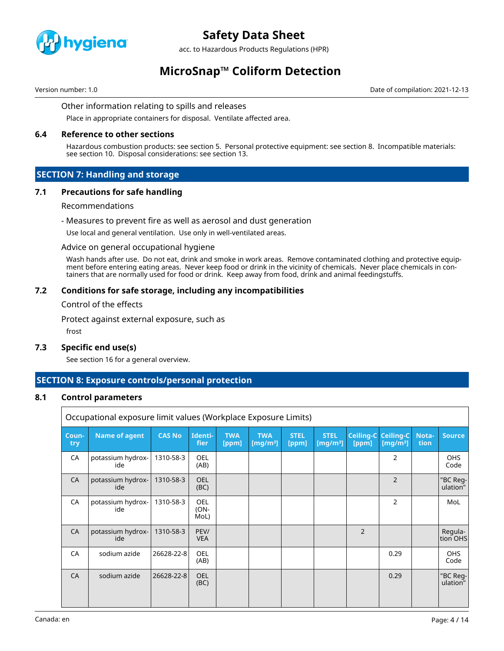

acc. to Hazardous Products Regulations (HPR)

# **MicroSnap™ Coliform Detection**

Version number: 1.0 Date of compilation: 2021-12-13

#### Other information relating to spills and releases

Place in appropriate containers for disposal. Ventilate affected area.

### **6.4 Reference to other sections**

Hazardous combustion products: see section 5. Personal protective equipment: see section 8. Incompatible materials: see section 10. Disposal considerations: see section 13.

# **SECTION 7: Handling and storage**

### **7.1 Precautions for safe handling**

#### Recommendations

#### - Measures to prevent fire as well as aerosol and dust generation

Use local and general ventilation. Use only in well-ventilated areas.

#### Advice on general occupational hygiene

Wash hands after use. Do not eat, drink and smoke in work areas. Remove contaminated clothing and protective equipment before entering eating areas. Never keep food or drink in the vicinity of chemicals. Never place chemicals in containers that are normally used for food or drink. Keep away from food, drink and animal feedingstuffs.

### **7.2 Conditions for safe storage, including any incompatibilities**

Control of the effects

Protect against external exposure, such as

frost

Г

### **7.3 Specific end use(s)**

See section 16 for a general overview.

### **SECTION 8: Exposure controls/personal protection**

#### **8.1 Control parameters**

| Occupational exposure limit values (Workplace Exposure Limits) |                          |               |                               |                     |                           |                      |                            |                    |                          |               |                      |
|----------------------------------------------------------------|--------------------------|---------------|-------------------------------|---------------------|---------------------------|----------------------|----------------------------|--------------------|--------------------------|---------------|----------------------|
| Coun-<br>try                                                   | <b>Name of agent</b>     | <b>CAS No</b> | Identi-<br>fier               | <b>TWA</b><br>[ppm] | <b>TWA</b><br>[ $mq/m3$ ] | <b>STEL</b><br>[ppm] | <b>STEL</b><br>[ $mq/m3$ ] | Ceiling-C<br>[ppm] | Ceiling-C<br>[ $mg/m3$ ] | Nota-<br>tion | <b>Source</b>        |
| CA                                                             | potassium hydrox-<br>ide | 1310-58-3     | <b>OEL</b><br>(AB)            |                     |                           |                      |                            |                    | $\overline{2}$           |               | <b>OHS</b><br>Code   |
| CA                                                             | potassium hydrox-<br>ide | 1310-58-3     | <b>OEL</b><br>(BC)            |                     |                           |                      |                            |                    | $\overline{2}$           |               | "BC Reg-<br>ulation" |
| CA                                                             | potassium hydrox-<br>ide | 1310-58-3     | <b>OEL</b><br>$(ON -$<br>MoL) |                     |                           |                      |                            |                    | $\overline{2}$           |               | MoL                  |
| CA                                                             | potassium hydrox-<br>ide | 1310-58-3     | PEV/<br><b>VEA</b>            |                     |                           |                      |                            | $\overline{2}$     |                          |               | Regula-<br>tion OHS  |
| CA                                                             | sodium azide             | 26628-22-8    | <b>OEL</b><br>(AB)            |                     |                           |                      |                            |                    | 0.29                     |               | <b>OHS</b><br>Code   |
| CA                                                             | sodium azide             | 26628-22-8    | <b>OEL</b><br>(BC)            |                     |                           |                      |                            |                    | 0.29                     |               | "BC Reg-<br>ulation" |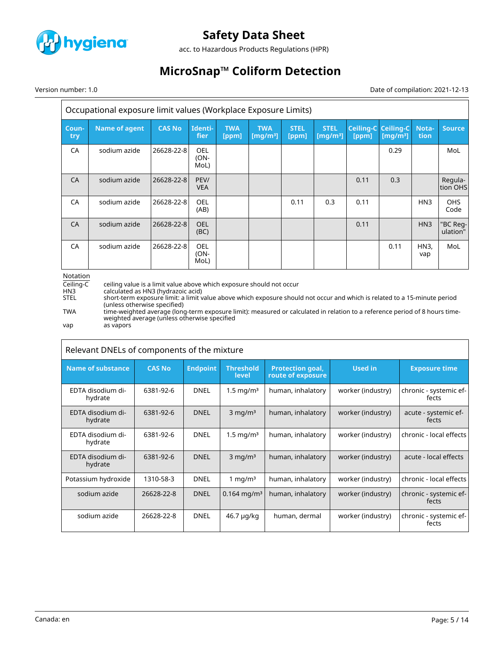

acc. to Hazardous Products Regulations (HPR)

# **MicroSnap™ Coliform Detection**

Version number: 1.0 Date of compilation: 2021-12-13

| Occupational exposure limit values (Workplace Exposure Limits) |                      |               |                            |                     |                           |                      |                            |                           |                          |                 |                      |
|----------------------------------------------------------------|----------------------|---------------|----------------------------|---------------------|---------------------------|----------------------|----------------------------|---------------------------|--------------------------|-----------------|----------------------|
| Coun-<br>try                                                   | <b>Name of agent</b> | <b>CAS No</b> | Identi-<br><b>fier</b>     | <b>TWA</b><br>[ppm] | <b>TWA</b><br>[ $mq/m3$ ] | <b>STEL</b><br>[ppm] | <b>STEL</b><br>[ $mq/m3$ ] | <b>Ceiling-C</b><br>[ppm] | Ceiling-C<br>[ $mq/m3$ ] | Nota-<br>tion   | <b>Source</b>        |
| CA                                                             | sodium azide         | 26628-22-8    | <b>OEL</b><br>(ON-<br>MoL) |                     |                           |                      |                            |                           | 0.29                     |                 | MoL                  |
| <b>CA</b>                                                      | sodium azide         | 26628-22-8    | PEV/<br><b>VEA</b>         |                     |                           |                      |                            | 0.11                      | 0.3                      |                 | Regula-<br>tion OHS  |
| CA                                                             | sodium azide         | 26628-22-8    | <b>OEL</b><br>(AB)         |                     |                           | 0.11                 | 0.3                        | 0.11                      |                          | HN <sub>3</sub> | <b>OHS</b><br>Code   |
| <b>CA</b>                                                      | sodium azide         | 26628-22-8    | <b>OEL</b><br>(BC)         |                     |                           |                      |                            | 0.11                      |                          | HN <sub>3</sub> | "BC Reg-<br>ulation" |
| CA                                                             | sodium azide         | 26628-22-8    | <b>OEL</b><br>(ON-<br>MoL) |                     |                           |                      |                            |                           | 0.11                     | HN3,<br>vap     | MoL                  |

Notation

 $\overline{ceil}$  ceiling value is a limit value above which exposure should not occur<br>HN3 calculated as HN3 (hydrazoic acid) HN3 calculated as HN3 (hydrazoic acid) STEL short-term exposure limit: a limit value above which exposure should not occur and which is related to a 15-minute period (unless otherwise specified) TWA time-weighted average (long-term exposure limit): measured or calculated in relation to a reference period of 8 hours timeweighted average (unless otherwise specified

vap as vapors

| Relevant DNELs of components of the mixture |               |                 |                           |                                              |                   |                                 |  |  |
|---------------------------------------------|---------------|-----------------|---------------------------|----------------------------------------------|-------------------|---------------------------------|--|--|
| <b>Name of substance</b>                    | <b>CAS No</b> | <b>Endpoint</b> | <b>Threshold</b><br>level | <b>Protection goal,</b><br>route of exposure | <b>Used in</b>    | <b>Exposure time</b>            |  |  |
| EDTA disodium di-<br>hydrate                | 6381-92-6     | <b>DNEL</b>     | $1.5 \text{ mg/m}^3$      | human, inhalatory                            | worker (industry) | chronic - systemic ef-<br>fects |  |  |
| EDTA disodium di-<br>hydrate                | 6381-92-6     | <b>DNEL</b>     | $3 \text{ mg/m}^3$        | human, inhalatory                            | worker (industry) | acute - systemic ef-<br>fects   |  |  |
| EDTA disodium di-<br>hydrate                | 6381-92-6     | <b>DNEL</b>     | $1.5 \,\mathrm{mg/m^3}$   | human, inhalatory                            | worker (industry) | chronic - local effects         |  |  |
| EDTA disodium di-<br>hydrate                | 6381-92-6     | <b>DNEL</b>     | $3$ mg/m <sup>3</sup>     | human, inhalatory                            | worker (industry) | acute - local effects           |  |  |
| Potassium hydroxide                         | 1310-58-3     | <b>DNEL</b>     | 1 mg/m $3$                | human, inhalatory                            | worker (industry) | chronic - local effects         |  |  |
| sodium azide                                | 26628-22-8    | <b>DNEL</b>     | $0.164$ mg/m <sup>3</sup> | human, inhalatory                            | worker (industry) | chronic - systemic ef-<br>fects |  |  |
| sodium azide                                | 26628-22-8    | <b>DNEL</b>     | 46.7 µg/kg                | human, dermal                                | worker (industry) | chronic - systemic ef-<br>fects |  |  |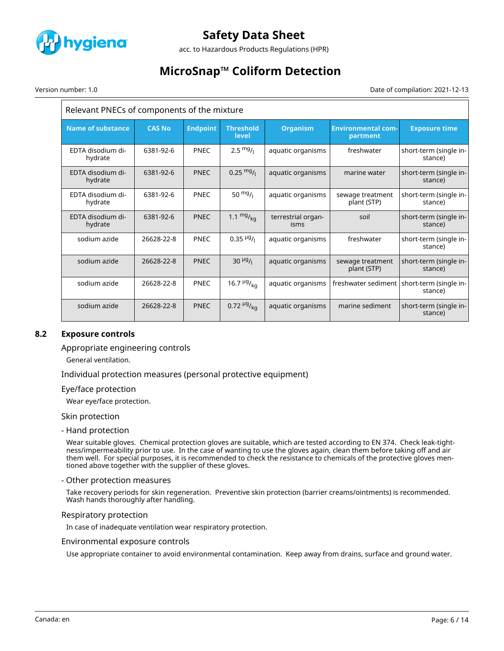

acc. to Hazardous Products Regulations (HPR)

# **MicroSnap™ Coliform Detection**

Version number: 1.0 Date of compilation: 2021-12-13

| Relevant PNECs of components of the mixture |               |                 |                                     |                            |                                       |                                   |  |
|---------------------------------------------|---------------|-----------------|-------------------------------------|----------------------------|---------------------------------------|-----------------------------------|--|
| <b>Name of substance</b>                    | <b>CAS No</b> | <b>Endpoint</b> | <b>Threshold</b><br>level           | <b>Organism</b>            | <b>Environmental com-</b><br>partment | <b>Exposure time</b>              |  |
| EDTA disodium di-<br>hydrate                | 6381-92-6     | <b>PNEC</b>     | $2.5 \frac{mg}{l}$                  | aquatic organisms          | freshwater                            | short-term (single in-<br>stance) |  |
| EDTA disodium di-<br>hydrate                | 6381-92-6     | <b>PNEC</b>     | $0.25 \frac{mg}{l}$                 | aquatic organisms          | marine water                          | short-term (single in-<br>stance) |  |
| EDTA disodium di-<br>hydrate                | 6381-92-6     | <b>PNEC</b>     | 50 $mg/1$                           | aquatic organisms          | sewage treatment<br>plant (STP)       | short-term (single in-<br>stance) |  |
| EDTA disodium di-<br>hydrate                | 6381-92-6     | <b>PNEC</b>     | 1.1 $mg/_{ka}$                      | terrestrial organ-<br>isms | soil                                  | short-term (single in-<br>stance) |  |
| sodium azide                                | 26628-22-8    | <b>PNEC</b>     | $0.35$ <sup>µg</sup> / <sub>l</sub> | aquatic organisms          | freshwater                            | short-term (single in-<br>stance) |  |
| sodium azide                                | 26628-22-8    | <b>PNEC</b>     | $30 \frac{\mu g}{I}$                | aquatic organisms          | sewage treatment<br>plant (STP)       | short-term (single in-<br>stance) |  |
| sodium azide                                | 26628-22-8    | <b>PNEC</b>     | 16.7 $\frac{\mu g}{\kappa q}$       | aquatic organisms          | freshwater sediment                   | short-term (single in-<br>stance) |  |
| sodium azide                                | 26628-22-8    | <b>PNEC</b>     | $0.72 \frac{\mu g}{\text{ka}}$      | aquatic organisms          | marine sediment                       | short-term (single in-<br>stance) |  |

### **8.2 Exposure controls**

Appropriate engineering controls

General ventilation.

Individual protection measures (personal protective equipment)

#### Eye/face protection

Wear eye/face protection.

#### Skin protection

#### - Hand protection

Wear suitable gloves. Chemical protection gloves are suitable, which are tested according to EN 374. Check leak-tightness/impermeability prior to use. In the case of wanting to use the gloves again, clean them before taking off and air them well. For special purposes, it is recommended to check the resistance to chemicals of the protective gloves mentioned above together with the supplier of these gloves.

#### - Other protection measures

Take recovery periods for skin regeneration. Preventive skin protection (barrier creams/ointments) is recommended. Wash hands thoroughly after handling.

#### Respiratory protection

In case of inadequate ventilation wear respiratory protection.

#### Environmental exposure controls

Use appropriate container to avoid environmental contamination. Keep away from drains, surface and ground water.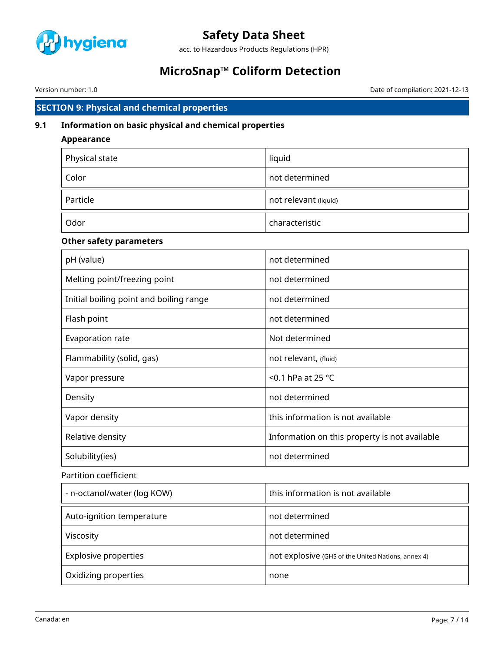

acc. to Hazardous Products Regulations (HPR)

# **MicroSnap™ Coliform Detection**

Version number: 1.0 Date of compilation: 2021-12-13

# **SECTION 9: Physical and chemical properties**

# **9.1 Information on basic physical and chemical properties**

## **Appearance**

| Physical state | liquid                |
|----------------|-----------------------|
| Color          | not determined        |
| Particle       | not relevant (liquid) |
| Odor           | characteristic        |

# **Other safety parameters**

| pH (value)                              | not determined                                |
|-----------------------------------------|-----------------------------------------------|
| Melting point/freezing point            | not determined                                |
| Initial boiling point and boiling range | not determined                                |
| Flash point                             | not determined                                |
| Evaporation rate                        | Not determined                                |
| Flammability (solid, gas)               | not relevant, (fluid)                         |
| Vapor pressure                          | $<$ 0.1 hPa at 25 °C                          |
| Density                                 | not determined                                |
| Vapor density                           | this information is not available             |
| Relative density                        | Information on this property is not available |
| Solubility(ies)                         | not determined                                |

# Partition coefficient

| - n-octanol/water (log KOW) | this information is not available                  |
|-----------------------------|----------------------------------------------------|
| Auto-ignition temperature   | not determined                                     |
| Viscosity                   | not determined                                     |
| <b>Explosive properties</b> | not explosive (GHS of the United Nations, annex 4) |
| Oxidizing properties        | none                                               |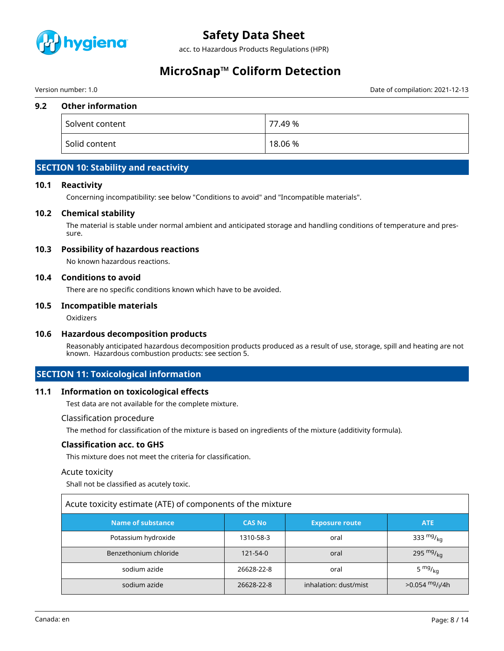

acc. to Hazardous Products Regulations (HPR)

# **MicroSnap™ Coliform Detection**

Version number: 1.0 Date of compilation: 2021-12-13

### **9.2 Other information**

| Solvent content | 77.49 %     |
|-----------------|-------------|
| Solid content   | $18.06\,\%$ |

# **SECTION 10: Stability and reactivity**

### **10.1 Reactivity**

Concerning incompatibility: see below "Conditions to avoid" and "Incompatible materials".

### **10.2 Chemical stability**

The material is stable under normal ambient and anticipated storage and handling conditions of temperature and pressure.

### **10.3 Possibility of hazardous reactions**

No known hazardous reactions.

### **10.4 Conditions to avoid**

There are no specific conditions known which have to be avoided.

### **10.5 Incompatible materials**

**Oxidizers** 

#### **10.6 Hazardous decomposition products**

Reasonably anticipated hazardous decomposition products produced as a result of use, storage, spill and heating are not known. Hazardous combustion products: see section 5.

# **SECTION 11: Toxicological information**

# **11.1 Information on toxicological effects**

Test data are not available for the complete mixture.

### Classification procedure

The method for classification of the mixture is based on ingredients of the mixture (additivity formula).

#### **Classification acc. to GHS**

This mixture does not meet the criteria for classification.

#### Acute toxicity

Shall not be classified as acutely toxic.

| Acute toxicity estimate (ATE) of components of the mixture |               |                       |                               |  |  |  |  |
|------------------------------------------------------------|---------------|-----------------------|-------------------------------|--|--|--|--|
| <b>Name of substance</b>                                   | <b>CAS No</b> | <b>Exposure route</b> | <b>ATE</b>                    |  |  |  |  |
| Potassium hydroxide                                        | 1310-58-3     | oral                  | 333 $mg/kq$                   |  |  |  |  |
| Benzethonium chloride                                      | 121-54-0      | oral                  | 295 $mg/_{kq}$                |  |  |  |  |
| sodium azide                                               | 26628-22-8    | oral                  | 5 $mg/kq$                     |  |  |  |  |
| sodium azide                                               | 26628-22-8    | inhalation: dust/mist | $>0.054$ mg/ <sub>I</sub> /4h |  |  |  |  |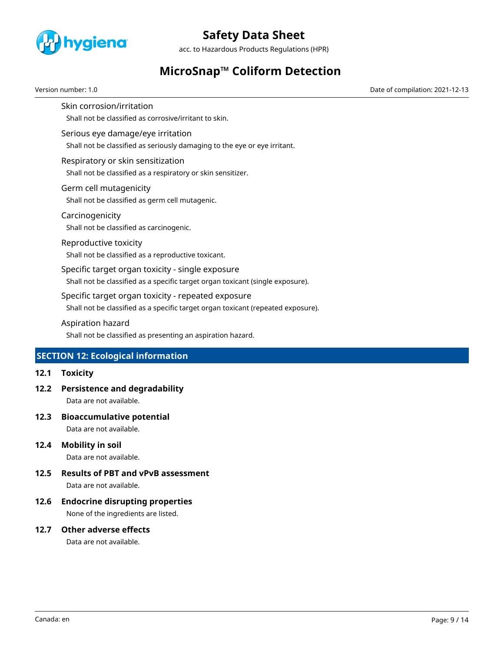

acc. to Hazardous Products Regulations (HPR)

# **MicroSnap™ Coliform Detection**

Version number: 1.0 Date of compilation: 2021-12-13

Shall not be classified as corrosive/irritant to skin.

Serious eye damage/eye irritation

Skin corrosion/irritation

Shall not be classified as seriously damaging to the eye or eye irritant.

Respiratory or skin sensitization

Shall not be classified as a respiratory or skin sensitizer.

- Germ cell mutagenicity Shall not be classified as germ cell mutagenic.
- Carcinogenicity Shall not be classified as carcinogenic.
- Reproductive toxicity

Shall not be classified as a reproductive toxicant.

Specific target organ toxicity - single exposure

Shall not be classified as a specific target organ toxicant (single exposure).

Specific target organ toxicity - repeated exposure

Shall not be classified as a specific target organ toxicant (repeated exposure).

Aspiration hazard

Shall not be classified as presenting an aspiration hazard.

# **SECTION 12: Ecological information**

### **12.1 Toxicity**

**12.2 Persistence and degradability**

Data are not available.

**12.3 Bioaccumulative potential**

Data are not available.

**12.4 Mobility in soil**

Data are not available.

- **12.5 Results of PBT and vPvB assessment** Data are not available.
- **12.6 Endocrine disrupting properties**

None of the ingredients are listed.

**12.7 Other adverse effects**

Data are not available.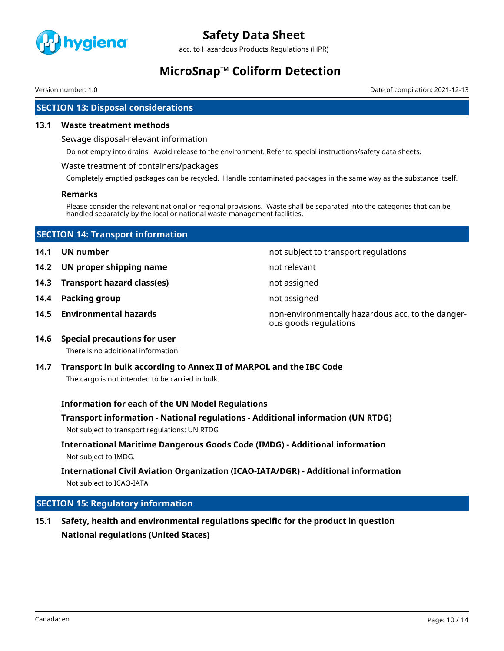

acc. to Hazardous Products Regulations (HPR)

# **MicroSnap™ Coliform Detection**

Version number: 1.0 Date of compilation: 2021-12-13

# **SECTION 13: Disposal considerations**

### **13.1 Waste treatment methods**

Sewage disposal-relevant information

Do not empty into drains. Avoid release to the environment. Refer to special instructions/safety data sheets.

#### Waste treatment of containers/packages

Completely emptied packages can be recycled. Handle contaminated packages in the same way as the substance itself.

### **Remarks**

Please consider the relevant national or regional provisions. Waste shall be separated into the categories that can be handled separately by the local or national waste management facilities.

| <b>SECTION 14: Transport information</b> |                                      |
|------------------------------------------|--------------------------------------|
| 14.1 UN number                           | not subject to transport regulations |

- **14.2 UN proper shipping name** not relevant
- **14.3 Transport hazard class(es)** not assigned
- **14.4 Packing group not assigned**
- 

- 
- 
- 
- **14.5 Environmental hazards** non-environmentally hazardous acc. to the dangerous goods regulations
- **14.6 Special precautions for user** There is no additional information.
- **14.7 Transport in bulk according to Annex II of MARPOL and the IBC Code** The cargo is not intended to be carried in bulk.

### **Information for each of the UN Model Regulations**

- **Transport information National regulations Additional information (UN RTDG)** Not subject to transport regulations: UN RTDG
- **International Maritime Dangerous Goods Code (IMDG) Additional information** Not subject to IMDG.

# **International Civil Aviation Organization (ICAO-IATA/DGR) - Additional information** Not subject to ICAO-IATA.

# **SECTION 15: Regulatory information**

**15.1 Safety, health and environmental regulations specific for the product in question National regulations (United States)**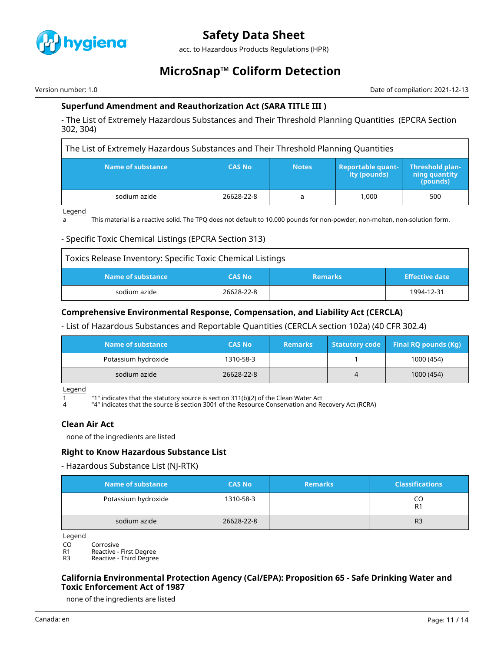

acc. to Hazardous Products Regulations (HPR)

# **MicroSnap™ Coliform Detection**

Version number: 1.0 Date of compilation: 2021-12-13

# **Superfund Amendment and Reauthorization Act (SARA TITLE III )**

- The List of Extremely Hazardous Substances and Their Threshold Planning Quantities (EPCRA Section 302, 304)

The List of Extremely Hazardous Substances and Their Threshold Planning Quantities

| Name of substance | <b>CAS No</b> | <b>Notes</b> | <b>Reportable quant-</b><br>ity (pounds) | <b>Threshold plan-</b><br>ning quantity<br>(pounds) |
|-------------------|---------------|--------------|------------------------------------------|-----------------------------------------------------|
| sodium azide      | 26628-22-8    |              | 1.000                                    | 500                                                 |

Legend

a This material is a reactive solid. The TPQ does not default to 10,000 pounds for non-powder, non-molten, non-solution form.

# - Specific Toxic Chemical Listings (EPCRA Section 313)

| Toxics Release Inventory: Specific Toxic Chemical Listings |               |                |                       |
|------------------------------------------------------------|---------------|----------------|-----------------------|
| Name of substance                                          | <b>CAS No</b> | <b>Remarks</b> | <b>Effective date</b> |
| sodium azide                                               | 26628-22-8    |                | 1994-12-31            |

# **Comprehensive Environmental Response, Compensation, and Liability Act (CERCLA)**

- List of Hazardous Substances and Reportable Quantities (CERCLA section 102a) (40 CFR 302.4)

| Name of substance <b>\</b> | <b>CAS No</b> | <b>Remarks</b> |   | Statutory code Final RQ pounds $(Kq)$ |
|----------------------------|---------------|----------------|---|---------------------------------------|
| Potassium hydroxide        | 1310-58-3     |                |   | 1000 (454)                            |
| sodium azide               | 26628-22-8    |                | 4 | 1000 (454)                            |

Legend

 $1$   $1$   $1$ " indicates that the statutory source is section 311(b)(2) of the Clean Water Act

4 "4" indicates that the source is section 3001 of the Resource Conservation and Recovery Act (RCRA)

# **Clean Air Act**

none of the ingredients are listed

# **Right to Know Hazardous Substance List**

- Hazardous Substance List (NJ-RTK)

| Name of substance   | <b>CAS No</b> | <b>Remarks</b> | <b>Classifications</b> |
|---------------------|---------------|----------------|------------------------|
| Potassium hydroxide | 1310-58-3     |                | CO<br>R <sub>1</sub>   |
| sodium azide        | 26628-22-8    |                | R <sub>3</sub>         |

Legend

CO Corrosive<br>R1 Reactive -

R1 Reactive - First Degree<br>R3 Reactive - Third Degree

Reactive - Third Degree

# **California Environmental Protection Agency (Cal/EPA): Proposition 65 - Safe Drinking Water and Toxic Enforcement Act of 1987**

none of the ingredients are listed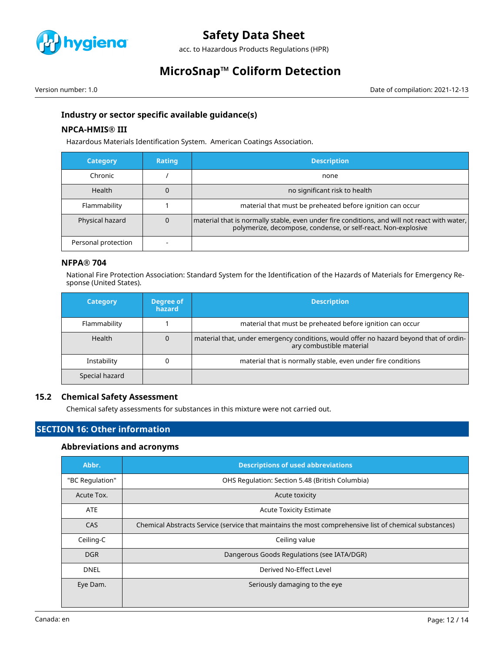

acc. to Hazardous Products Regulations (HPR)

# **MicroSnap™ Coliform Detection**

Version number: 1.0 Date of compilation: 2021-12-13

# **Industry or sector specific available guidance(s)**

# **NPCA-HMIS® III**

Hazardous Materials Identification System. American Coatings Association.

| <b>Category</b>     | <b>Rating</b> | <b>Description</b>                                                                                                                                            |
|---------------------|---------------|---------------------------------------------------------------------------------------------------------------------------------------------------------------|
| Chronic             |               | none                                                                                                                                                          |
| Health              |               | no significant risk to health                                                                                                                                 |
| Flammability        |               | material that must be preheated before ignition can occur                                                                                                     |
| Physical hazard     | 0             | material that is normally stable, even under fire conditions, and will not react with water,<br>polymerize, decompose, condense, or self-react. Non-explosive |
| Personal protection |               |                                                                                                                                                               |

# **NFPA® 704**

National Fire Protection Association: Standard System for the Identification of the Hazards of Materials for Emergency Response (United States).

| <b>Category</b> | Degree of<br>hazard | <b>Description</b>                                                                                                 |
|-----------------|---------------------|--------------------------------------------------------------------------------------------------------------------|
| Flammability    |                     | material that must be preheated before ignition can occur                                                          |
| Health          |                     | material that, under emergency conditions, would offer no hazard beyond that of ordin-<br>ary combustible material |
| Instability     |                     | material that is normally stable, even under fire conditions                                                       |
| Special hazard  |                     |                                                                                                                    |

### **15.2 Chemical Safety Assessment**

Chemical safety assessments for substances in this mixture were not carried out.

# **SECTION 16: Other information**

# **Abbreviations and acronyms**

| Abbr.           | <b>Descriptions of used abbreviations</b>                                                              |
|-----------------|--------------------------------------------------------------------------------------------------------|
| "BC Regulation" | OHS Regulation: Section 5.48 (British Columbia)                                                        |
| Acute Tox.      | Acute toxicity                                                                                         |
| <b>ATE</b>      | <b>Acute Toxicity Estimate</b>                                                                         |
| CAS             | Chemical Abstracts Service (service that maintains the most comprehensive list of chemical substances) |
| Ceiling-C       | Ceiling value                                                                                          |
| DGR             | Dangerous Goods Regulations (see IATA/DGR)                                                             |
| <b>DNEL</b>     | Derived No-Effect Level                                                                                |
| Eye Dam.        | Seriously damaging to the eye                                                                          |
|                 |                                                                                                        |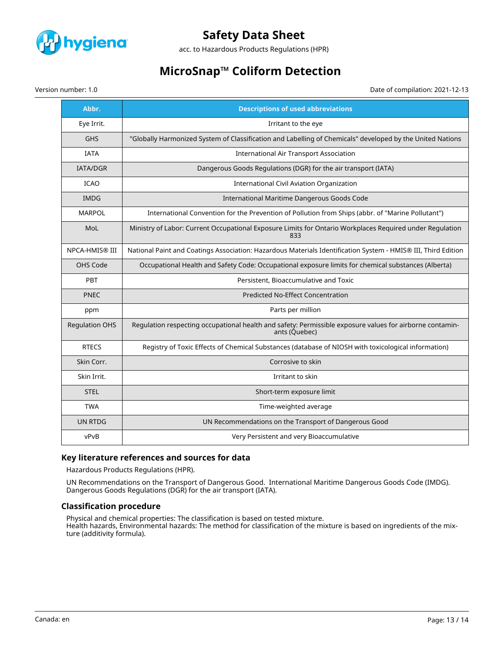

acc. to Hazardous Products Regulations (HPR)

# **MicroSnap™ Coliform Detection**

Version number: 1.0 Date of compilation: 2021-12-13

| Abbr.                 | <b>Descriptions of used abbreviations</b>                                                                                 |
|-----------------------|---------------------------------------------------------------------------------------------------------------------------|
| Eye Irrit.            | Irritant to the eye                                                                                                       |
| <b>GHS</b>            | "Globally Harmonized System of Classification and Labelling of Chemicals" developed by the United Nations                 |
| <b>IATA</b>           | International Air Transport Association                                                                                   |
| <b>IATA/DGR</b>       | Dangerous Goods Regulations (DGR) for the air transport (IATA)                                                            |
| <b>ICAO</b>           | International Civil Aviation Organization                                                                                 |
| <b>IMDG</b>           | International Maritime Dangerous Goods Code                                                                               |
| <b>MARPOL</b>         | International Convention for the Prevention of Pollution from Ships (abbr. of "Marine Pollutant")                         |
| MoL                   | Ministry of Labor: Current Occupational Exposure Limits for Ontario Workplaces Required under Regulation<br>833           |
| <b>NPCA-HMIS® III</b> | National Paint and Coatings Association: Hazardous Materials Identification System - HMIS® III, Third Edition             |
| OHS Code              | Occupational Health and Safety Code: Occupational exposure limits for chemical substances (Alberta)                       |
| PBT                   | Persistent, Bioaccumulative and Toxic                                                                                     |
| <b>PNEC</b>           | <b>Predicted No-Effect Concentration</b>                                                                                  |
| ppm                   | Parts per million                                                                                                         |
| <b>Regulation OHS</b> | Regulation respecting occupational health and safety: Permissible exposure values for airborne contamin-<br>ants (Quebec) |
| <b>RTECS</b>          | Registry of Toxic Effects of Chemical Substances (database of NIOSH with toxicological information)                       |
| Skin Corr.            | Corrosive to skin                                                                                                         |
| Skin Irrit.           | Irritant to skin                                                                                                          |
| <b>STEL</b>           | Short-term exposure limit                                                                                                 |
| <b>TWA</b>            | Time-weighted average                                                                                                     |
| <b>UN RTDG</b>        | UN Recommendations on the Transport of Dangerous Good                                                                     |
| vPvB                  | Very Persistent and very Bioaccumulative                                                                                  |

# **Key literature references and sources for data**

Hazardous Products Regulations (HPR).

UN Recommendations on the Transport of Dangerous Good. International Maritime Dangerous Goods Code (IMDG). Dangerous Goods Regulations (DGR) for the air transport (IATA).

### **Classification procedure**

Physical and chemical properties: The classification is based on tested mixture. Health hazards, Environmental hazards: The method for classification of the mixture is based on ingredients of the mixture (additivity formula).